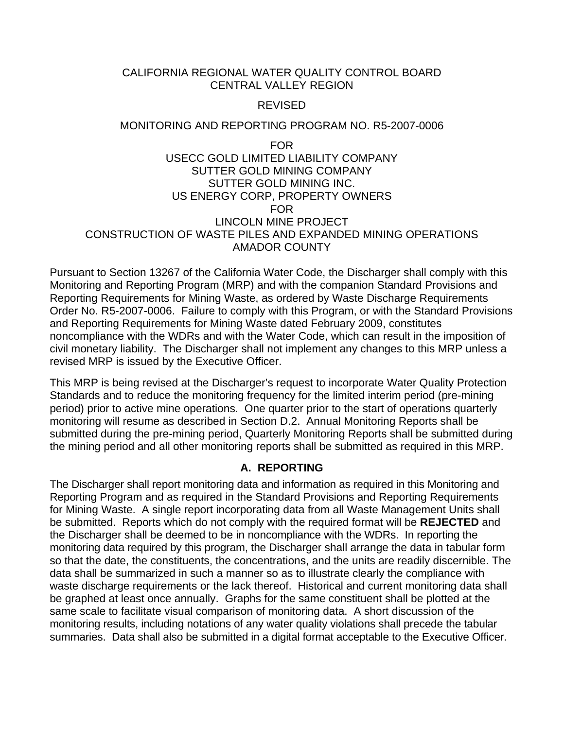## CALIFORNIA REGIONAL WATER QUALITY CONTROL BOARD CENTRAL VALLEY REGION

#### REVISED

#### MONITORING AND REPORTING PROGRAM NO. R5-2007-0006

FOR

## USECC GOLD LIMITED LIABILITY COMPANY SUTTER GOLD MINING COMPANY SUTTER GOLD MINING INC. US ENERGY CORP, PROPERTY OWNERS FOR LINCOLN MINE PROJECT CONSTRUCTION OF WASTE PILES AND EXPANDED MINING OPERATIONS AMADOR COUNTY

Pursuant to Section 13267 of the California Water Code, the Discharger shall comply with this Monitoring and Reporting Program (MRP) and with the companion Standard Provisions and Reporting Requirements for Mining Waste, as ordered by Waste Discharge Requirements Order No. R5-2007-0006. Failure to comply with this Program, or with the Standard Provisions and Reporting Requirements for Mining Waste dated February 2009, constitutes noncompliance with the WDRs and with the Water Code, which can result in the imposition of civil monetary liability. The Discharger shall not implement any changes to this MRP unless a revised MRP is issued by the Executive Officer.

This MRP is being revised at the Discharger's request to incorporate Water Quality Protection Standards and to reduce the monitoring frequency for the limited interim period (pre-mining period) prior to active mine operations. One quarter prior to the start of operations quarterly monitoring will resume as described in Section D.2. Annual Monitoring Reports shall be submitted during the pre-mining period, Quarterly Monitoring Reports shall be submitted during the mining period and all other monitoring reports shall be submitted as required in this MRP.

## **A. REPORTING**

The Discharger shall report monitoring data and information as required in this Monitoring and Reporting Program and as required in the Standard Provisions and Reporting Requirements for Mining Waste. A single report incorporating data from all Waste Management Units shall be submitted. Reports which do not comply with the required format will be **REJECTED** and the Discharger shall be deemed to be in noncompliance with the WDRs. In reporting the monitoring data required by this program, the Discharger shall arrange the data in tabular form so that the date, the constituents, the concentrations, and the units are readily discernible. The data shall be summarized in such a manner so as to illustrate clearly the compliance with waste discharge requirements or the lack thereof. Historical and current monitoring data shall be graphed at least once annually. Graphs for the same constituent shall be plotted at the same scale to facilitate visual comparison of monitoring data. A short discussion of the monitoring results, including notations of any water quality violations shall precede the tabular summaries. Data shall also be submitted in a digital format acceptable to the Executive Officer.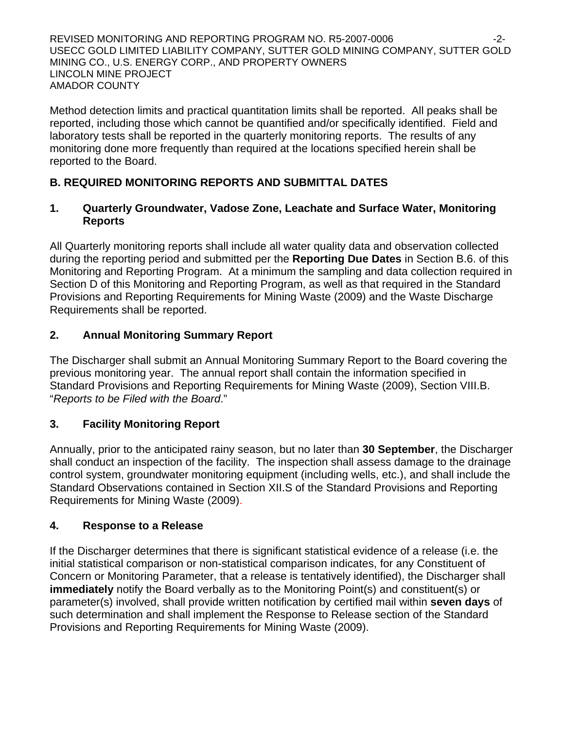REVISED MONITORING AND REPORTING PROGRAM NO. R5-2007-0006 -2- USECC GOLD LIMITED LIABILITY COMPANY, SUTTER GOLD MINING COMPANY, SUTTER GOLD MINING CO., U.S. ENERGY CORP., AND PROPERTY OWNERS LINCOLN MINE PROJECT AMADOR COUNTY

Method detection limits and practical quantitation limits shall be reported. All peaks shall be reported, including those which cannot be quantified and/or specifically identified. Field and laboratory tests shall be reported in the quarterly monitoring reports. The results of any monitoring done more frequently than required at the locations specified herein shall be reported to the Board.

# **B. REQUIRED MONITORING REPORTS AND SUBMITTAL DATES**

## **1. Quarterly Groundwater, Vadose Zone, Leachate and Surface Water, Monitoring Reports**

All Quarterly monitoring reports shall include all water quality data and observation collected during the reporting period and submitted per the **Reporting Due Dates** in Section B.6. of this Monitoring and Reporting Program. At a minimum the sampling and data collection required in Section D of this Monitoring and Reporting Program, as well as that required in the Standard Provisions and Reporting Requirements for Mining Waste (2009) and the Waste Discharge Requirements shall be reported.

# **2. Annual Monitoring Summary Report**

The Discharger shall submit an Annual Monitoring Summary Report to the Board covering the previous monitoring year. The annual report shall contain the information specified in Standard Provisions and Reporting Requirements for Mining Waste (2009), Section VIII.B. "*Reports to be Filed with the Board*."

# **3. Facility Monitoring Report**

Annually, prior to the anticipated rainy season, but no later than **30 September**, the Discharger shall conduct an inspection of the facility. The inspection shall assess damage to the drainage control system, groundwater monitoring equipment (including wells, etc.), and shall include the Standard Observations contained in Section XII.S of the Standard Provisions and Reporting Requirements for Mining Waste (2009).

# **4. Response to a Release**

If the Discharger determines that there is significant statistical evidence of a release (i.e. the initial statistical comparison or non-statistical comparison indicates, for any Constituent of Concern or Monitoring Parameter, that a release is tentatively identified), the Discharger shall **immediately** notify the Board verbally as to the Monitoring Point(s) and constituent(s) or parameter(s) involved, shall provide written notification by certified mail within **seven days** of such determination and shall implement the Response to Release section of the Standard Provisions and Reporting Requirements for Mining Waste (2009).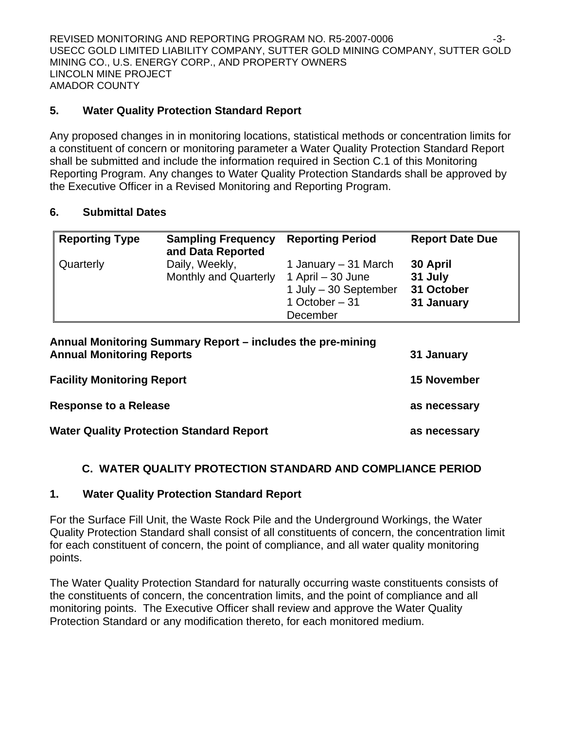REVISED MONITORING AND REPORTING PROGRAM NO. R5-2007-0006 -3-USECC GOLD LIMITED LIABILITY COMPANY, SUTTER GOLD MINING COMPANY, SUTTER GOLD MINING CO., U.S. ENERGY CORP., AND PROPERTY OWNERS LINCOLN MINE PROJECT AMADOR COUNTY

## **5. Water Quality Protection Standard Report**

Any proposed changes in in monitoring locations, statistical methods or concentration limits for a constituent of concern or monitoring parameter a Water Quality Protection Standard Report shall be submitted and include the information required in Section C.1 of this Monitoring Reporting Program. Any changes to Water Quality Protection Standards shall be approved by the Executive Officer in a Revised Monitoring and Reporting Program.

## **6. Submittal Dates**

| <b>Reporting Type</b> | <b>Sampling Frequency</b><br>and Data Reported | <b>Reporting Period</b>                                                                             | <b>Report Date Due</b>                          |
|-----------------------|------------------------------------------------|-----------------------------------------------------------------------------------------------------|-------------------------------------------------|
| Quarterly             | Daily, Weekly,<br><b>Monthly and Quarterly</b> | 1 January – 31 March<br>1 April $-30$ June<br>1 July $-30$ September<br>1 October $-31$<br>December | 30 April<br>31 July<br>31 October<br>31 January |

| Annual Monitoring Summary Report – includes the pre-mining<br><b>Annual Monitoring Reports</b> | 31 January         |
|------------------------------------------------------------------------------------------------|--------------------|
| <b>Facility Monitoring Report</b>                                                              | <b>15 November</b> |
| <b>Response to a Release</b>                                                                   | as necessary       |
| <b>Water Quality Protection Standard Report</b>                                                | as necessary       |

## **C. WATER QUALITY PROTECTION STANDARD AND COMPLIANCE PERIOD**

## **1. Water Quality Protection Standard Report**

For the Surface Fill Unit, the Waste Rock Pile and the Underground Workings, the Water Quality Protection Standard shall consist of all constituents of concern, the concentration limit for each constituent of concern, the point of compliance, and all water quality monitoring points.

The Water Quality Protection Standard for naturally occurring waste constituents consists of the constituents of concern, the concentration limits, and the point of compliance and all monitoring points. The Executive Officer shall review and approve the Water Quality Protection Standard or any modification thereto, for each monitored medium.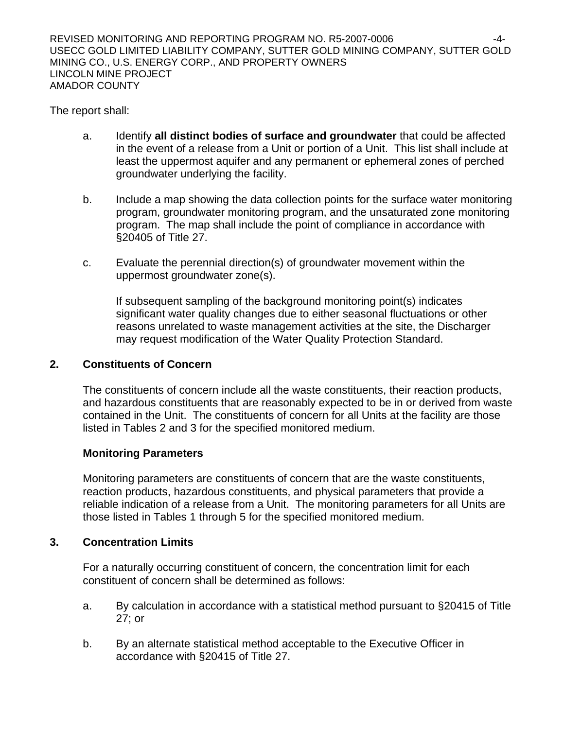The report shall:

- a. Identify **all distinct bodies of surface and groundwater** that could be affected in the event of a release from a Unit or portion of a Unit. This list shall include at least the uppermost aquifer and any permanent or ephemeral zones of perched groundwater underlying the facility.
- b. Include a map showing the data collection points for the surface water monitoring program, groundwater monitoring program, and the unsaturated zone monitoring program. The map shall include the point of compliance in accordance with §20405 of Title 27.
- c. Evaluate the perennial direction(s) of groundwater movement within the uppermost groundwater zone(s).

 If subsequent sampling of the background monitoring point(s) indicates significant water quality changes due to either seasonal fluctuations or other reasons unrelated to waste management activities at the site, the Discharger may request modification of the Water Quality Protection Standard.

# **2. Constituents of Concern**

 The constituents of concern include all the waste constituents, their reaction products, and hazardous constituents that are reasonably expected to be in or derived from waste contained in the Unit. The constituents of concern for all Units at the facility are those listed in Tables 2 and 3 for the specified monitored medium.

# **Monitoring Parameters**

Monitoring parameters are constituents of concern that are the waste constituents, reaction products, hazardous constituents, and physical parameters that provide a reliable indication of a release from a Unit. The monitoring parameters for all Units are those listed in Tables 1 through 5 for the specified monitored medium.

# **3. Concentration Limits**

 For a naturally occurring constituent of concern, the concentration limit for each constituent of concern shall be determined as follows:

- a. By calculation in accordance with a statistical method pursuant to §20415 of Title 27; or
- b. By an alternate statistical method acceptable to the Executive Officer in accordance with §20415 of Title 27.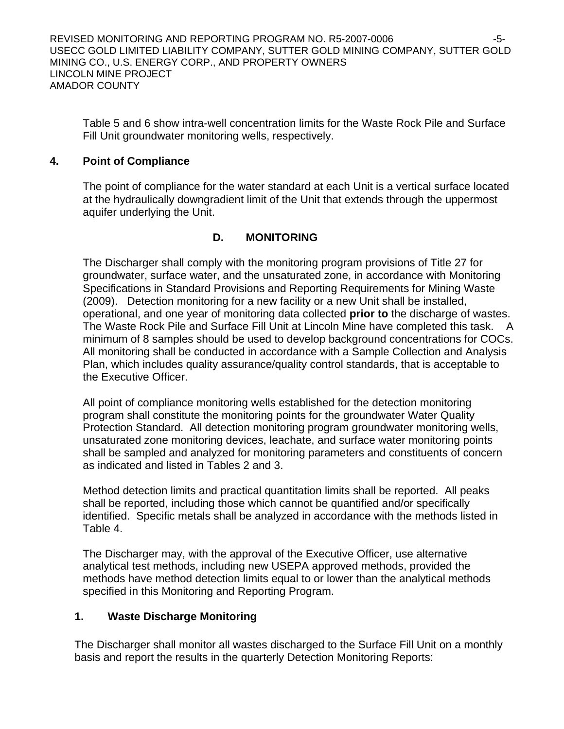Table 5 and 6 show intra-well concentration limits for the Waste Rock Pile and Surface Fill Unit groundwater monitoring wells, respectively.

## **4. Point of Compliance**

 The point of compliance for the water standard at each Unit is a vertical surface located at the hydraulically downgradient limit of the Unit that extends through the uppermost aquifer underlying the Unit.

# **D. MONITORING**

The Discharger shall comply with the monitoring program provisions of Title 27 for groundwater, surface water, and the unsaturated zone, in accordance with Monitoring Specifications in Standard Provisions and Reporting Requirements for Mining Waste (2009). Detection monitoring for a new facility or a new Unit shall be installed, operational, and one year of monitoring data collected **prior to** the discharge of wastes. The Waste Rock Pile and Surface Fill Unit at Lincoln Mine have completed this task. A minimum of 8 samples should be used to develop background concentrations for COCs. All monitoring shall be conducted in accordance with a Sample Collection and Analysis Plan, which includes quality assurance/quality control standards, that is acceptable to the Executive Officer.

All point of compliance monitoring wells established for the detection monitoring program shall constitute the monitoring points for the groundwater Water Quality Protection Standard. All detection monitoring program groundwater monitoring wells, unsaturated zone monitoring devices, leachate, and surface water monitoring points shall be sampled and analyzed for monitoring parameters and constituents of concern as indicated and listed in Tables 2 and 3.

Method detection limits and practical quantitation limits shall be reported. All peaks shall be reported, including those which cannot be quantified and/or specifically identified. Specific metals shall be analyzed in accordance with the methods listed in Table 4.

The Discharger may, with the approval of the Executive Officer, use alternative analytical test methods, including new USEPA approved methods, provided the methods have method detection limits equal to or lower than the analytical methods specified in this Monitoring and Reporting Program.

# **1. Waste Discharge Monitoring**

The Discharger shall monitor all wastes discharged to the Surface Fill Unit on a monthly basis and report the results in the quarterly Detection Monitoring Reports: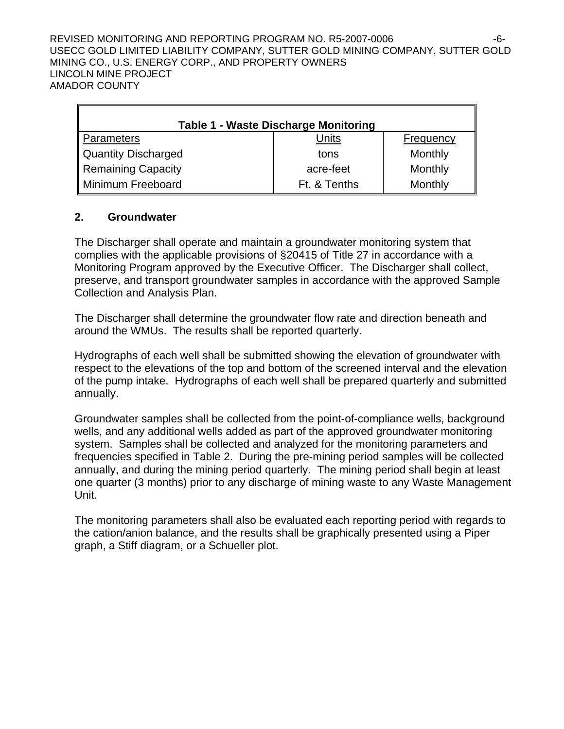REVISED MONITORING AND REPORTING PROGRAM NO. R5-2007-0006 -6- USECC GOLD LIMITED LIABILITY COMPANY, SUTTER GOLD MINING COMPANY, SUTTER GOLD MINING CO., U.S. ENERGY CORP., AND PROPERTY OWNERS LINCOLN MINE PROJECT AMADOR COUNTY

| <b>Table 1 - Waste Discharge Monitoring</b> |              |           |  |  |  |
|---------------------------------------------|--------------|-----------|--|--|--|
| Parameters                                  | Units        | Frequency |  |  |  |
| Quantity Discharged                         | tons         | Monthly   |  |  |  |
| Remaining Capacity                          | acre-feet    | Monthly   |  |  |  |
| Minimum Freeboard                           | Ft. & Tenths | Monthly   |  |  |  |

## **2. Groundwater**

r.

The Discharger shall operate and maintain a groundwater monitoring system that complies with the applicable provisions of §20415 of Title 27 in accordance with a Monitoring Program approved by the Executive Officer. The Discharger shall collect, preserve, and transport groundwater samples in accordance with the approved Sample Collection and Analysis Plan.

The Discharger shall determine the groundwater flow rate and direction beneath and around the WMUs. The results shall be reported quarterly.

Hydrographs of each well shall be submitted showing the elevation of groundwater with respect to the elevations of the top and bottom of the screened interval and the elevation of the pump intake. Hydrographs of each well shall be prepared quarterly and submitted annually.

Groundwater samples shall be collected from the point-of-compliance wells, background wells, and any additional wells added as part of the approved groundwater monitoring system. Samples shall be collected and analyzed for the monitoring parameters and frequencies specified in Table 2. During the pre-mining period samples will be collected annually, and during the mining period quarterly. The mining period shall begin at least one quarter (3 months) prior to any discharge of mining waste to any Waste Management Unit.

The monitoring parameters shall also be evaluated each reporting period with regards to the cation/anion balance, and the results shall be graphically presented using a Piper graph, a Stiff diagram, or a Schueller plot.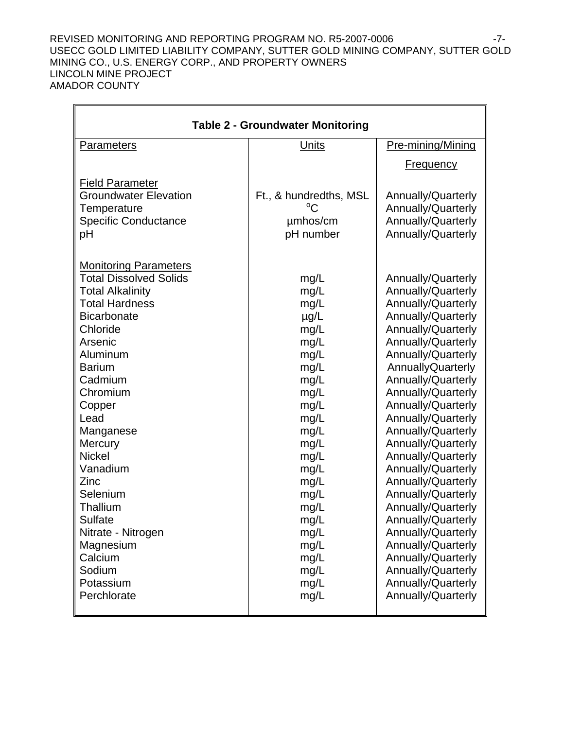#### REVISED MONITORING AND REPORTING PROGRAM NO. R5-2007-0006 -7-USECC GOLD LIMITED LIABILITY COMPANY, SUTTER GOLD MINING COMPANY, SUTTER GOLD MINING CO., U.S. ENERGY CORP., AND PROPERTY OWNERS LINCOLN MINE PROJECT AMADOR COUNTY

 $\overline{\mathbf{u}}$ 

| <b>Table 2 - Groundwater Monitoring</b> |                        |                          |  |  |  |
|-----------------------------------------|------------------------|--------------------------|--|--|--|
|                                         |                        |                          |  |  |  |
| <b>Parameters</b>                       | <b>Units</b>           | Pre-mining/Mining        |  |  |  |
|                                         |                        | <b>Frequency</b>         |  |  |  |
| <b>Field Parameter</b>                  |                        |                          |  |  |  |
| <b>Groundwater Elevation</b>            | Ft., & hundredths, MSL | Annually/Quarterly       |  |  |  |
| Temperature                             |                        | Annually/Quarterly       |  |  |  |
| <b>Specific Conductance</b>             | umhos/cm               | Annually/Quarterly       |  |  |  |
| рH                                      | pH number              | Annually/Quarterly       |  |  |  |
| <b>Monitoring Parameters</b>            |                        |                          |  |  |  |
| <b>Total Dissolved Solids</b>           | mg/L                   | Annually/Quarterly       |  |  |  |
| <b>Total Alkalinity</b>                 | mg/L                   | Annually/Quarterly       |  |  |  |
| <b>Total Hardness</b>                   | mg/L                   | Annually/Quarterly       |  |  |  |
| <b>Bicarbonate</b>                      | $\mu$ g/L              | Annually/Quarterly       |  |  |  |
| Chloride                                | mg/L                   | Annually/Quarterly       |  |  |  |
| Arsenic                                 | mg/L                   | Annually/Quarterly       |  |  |  |
| Aluminum                                | mg/L                   | Annually/Quarterly       |  |  |  |
| <b>Barium</b>                           | mg/L                   | <b>AnnuallyQuarterly</b> |  |  |  |
| Cadmium                                 | mg/L                   | Annually/Quarterly       |  |  |  |
| Chromium                                | mg/L                   | Annually/Quarterly       |  |  |  |
| Copper                                  | mg/L                   | Annually/Quarterly       |  |  |  |
| Lead                                    | mg/L                   | Annually/Quarterly       |  |  |  |
| Manganese                               | mg/L                   | Annually/Quarterly       |  |  |  |
| Mercury                                 | mg/L                   | Annually/Quarterly       |  |  |  |
| <b>Nickel</b>                           | mg/L                   | Annually/Quarterly       |  |  |  |
| Vanadium                                | mg/L                   | Annually/Quarterly       |  |  |  |
| Zinc                                    | mg/L                   | Annually/Quarterly       |  |  |  |
| Selenium                                | mg/L                   | Annually/Quarterly       |  |  |  |
| Thallium                                | mg/L                   | Annually/Quarterly       |  |  |  |
| <b>Sulfate</b>                          | mg/L                   | Annually/Quarterly       |  |  |  |
| Nitrate - Nitrogen                      | mg/L                   | Annually/Quarterly       |  |  |  |
| Magnesium                               | mg/L                   | Annually/Quarterly       |  |  |  |
| Calcium                                 | mg/L                   | Annually/Quarterly       |  |  |  |
| Sodium                                  | mg/L                   | Annually/Quarterly       |  |  |  |
| Potassium                               | mg/L                   | Annually/Quarterly       |  |  |  |
| Perchlorate                             | mg/L                   | Annually/Quarterly       |  |  |  |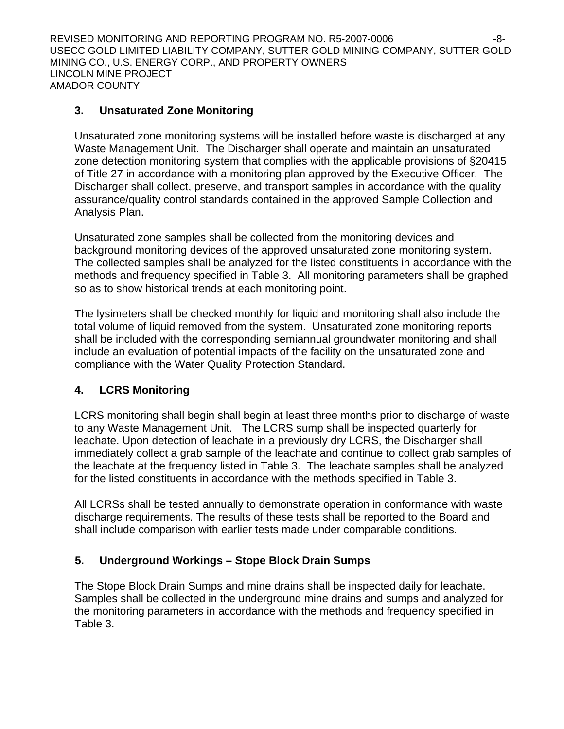REVISED MONITORING AND REPORTING PROGRAM NO. R5-2007-0006 -8- USECC GOLD LIMITED LIABILITY COMPANY, SUTTER GOLD MINING COMPANY, SUTTER GOLD MINING CO., U.S. ENERGY CORP., AND PROPERTY OWNERS LINCOLN MINE PROJECT AMADOR COUNTY

## **3. Unsaturated Zone Monitoring**

Unsaturated zone monitoring systems will be installed before waste is discharged at any Waste Management Unit. The Discharger shall operate and maintain an unsaturated zone detection monitoring system that complies with the applicable provisions of §20415 of Title 27 in accordance with a monitoring plan approved by the Executive Officer. The Discharger shall collect, preserve, and transport samples in accordance with the quality assurance/quality control standards contained in the approved Sample Collection and Analysis Plan.

Unsaturated zone samples shall be collected from the monitoring devices and background monitoring devices of the approved unsaturated zone monitoring system. The collected samples shall be analyzed for the listed constituents in accordance with the methods and frequency specified in Table 3. All monitoring parameters shall be graphed so as to show historical trends at each monitoring point.

The lysimeters shall be checked monthly for liquid and monitoring shall also include the total volume of liquid removed from the system. Unsaturated zone monitoring reports shall be included with the corresponding semiannual groundwater monitoring and shall include an evaluation of potential impacts of the facility on the unsaturated zone and compliance with the Water Quality Protection Standard.

# **4. LCRS Monitoring**

LCRS monitoring shall begin shall begin at least three months prior to discharge of waste to any Waste Management Unit. The LCRS sump shall be inspected quarterly for leachate. Upon detection of leachate in a previously dry LCRS, the Discharger shall immediately collect a grab sample of the leachate and continue to collect grab samples of the leachate at the frequency listed in Table 3. The leachate samples shall be analyzed for the listed constituents in accordance with the methods specified in Table 3.

All LCRSs shall be tested annually to demonstrate operation in conformance with waste discharge requirements. The results of these tests shall be reported to the Board and shall include comparison with earlier tests made under comparable conditions.

# **5. Underground Workings – Stope Block Drain Sumps**

The Stope Block Drain Sumps and mine drains shall be inspected daily for leachate. Samples shall be collected in the underground mine drains and sumps and analyzed for the monitoring parameters in accordance with the methods and frequency specified in Table 3.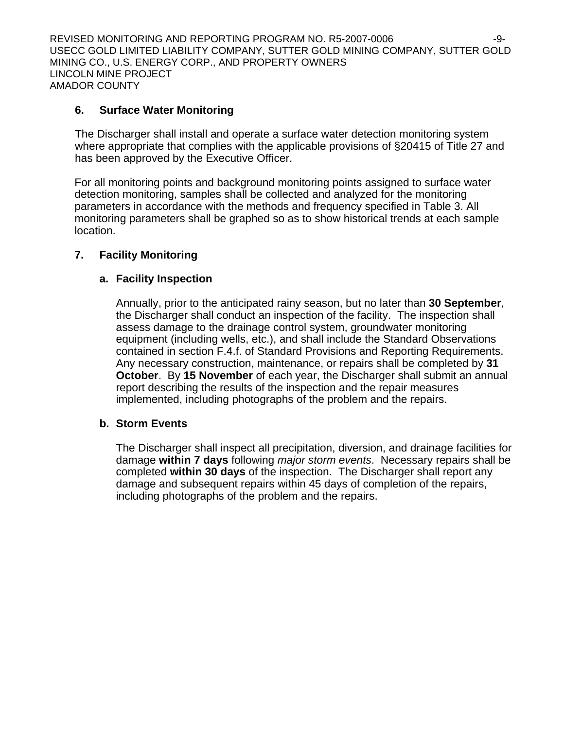REVISED MONITORING AND REPORTING PROGRAM NO. R5-2007-0006 -9- USECC GOLD LIMITED LIABILITY COMPANY, SUTTER GOLD MINING COMPANY, SUTTER GOLD MINING CO., U.S. ENERGY CORP., AND PROPERTY OWNERS LINCOLN MINE PROJECT AMADOR COUNTY

## **6. Surface Water Monitoring**

The Discharger shall install and operate a surface water detection monitoring system where appropriate that complies with the applicable provisions of §20415 of Title 27 and has been approved by the Executive Officer.

For all monitoring points and background monitoring points assigned to surface water detection monitoring, samples shall be collected and analyzed for the monitoring parameters in accordance with the methods and frequency specified in Table 3. All monitoring parameters shall be graphed so as to show historical trends at each sample location.

## **7. Facility Monitoring**

## **a. Facility Inspection**

Annually, prior to the anticipated rainy season, but no later than **30 September**, the Discharger shall conduct an inspection of the facility. The inspection shall assess damage to the drainage control system, groundwater monitoring equipment (including wells, etc.), and shall include the Standard Observations contained in section F.4.f. of Standard Provisions and Reporting Requirements. Any necessary construction, maintenance, or repairs shall be completed by **31 October**. By **15 November** of each year, the Discharger shall submit an annual report describing the results of the inspection and the repair measures implemented, including photographs of the problem and the repairs.

## **b. Storm Events**

The Discharger shall inspect all precipitation, diversion, and drainage facilities for damage **within 7 days** following *major storm events*. Necessary repairs shall be completed **within 30 days** of the inspection. The Discharger shall report any damage and subsequent repairs within 45 days of completion of the repairs, including photographs of the problem and the repairs.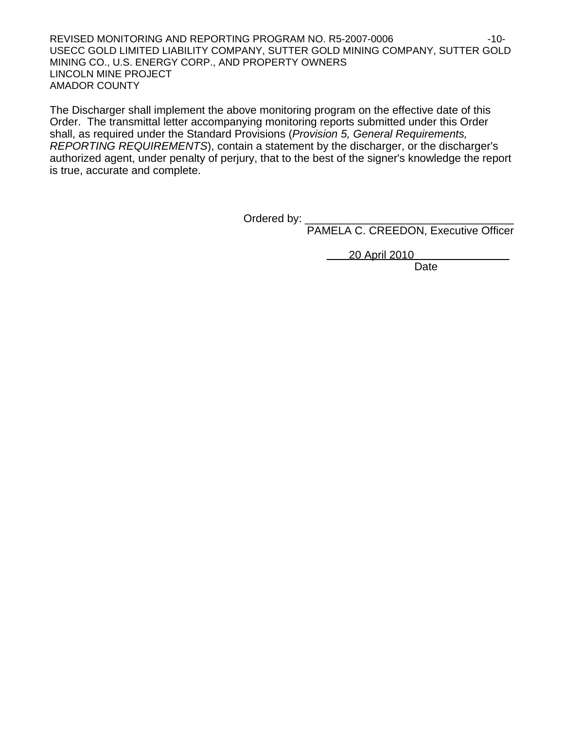REVISED MONITORING AND REPORTING PROGRAM NO. R5-2007-0006 -10-USECC GOLD LIMITED LIABILITY COMPANY, SUTTER GOLD MINING COMPANY, SUTTER GOLD MINING CO., U.S. ENERGY CORP., AND PROPERTY OWNERS LINCOLN MINE PROJECT AMADOR COUNTY

The Discharger shall implement the above monitoring program on the effective date of this Order. The transmittal letter accompanying monitoring reports submitted under this Order shall, as required under the Standard Provisions (*Provision 5, General Requirements, REPORTING REQUIREMENTS*), contain a statement by the discharger, or the discharger's authorized agent, under penalty of perjury, that to the best of the signer's knowledge the report is true, accurate and complete.

Ordered by: \_\_\_\_\_\_\_\_\_\_\_\_\_\_\_\_\_\_\_\_\_\_\_\_\_\_\_\_\_\_\_\_\_\_

PAMELA C. CREEDON, Executive Officer

20 April 2010

**Date Date Date**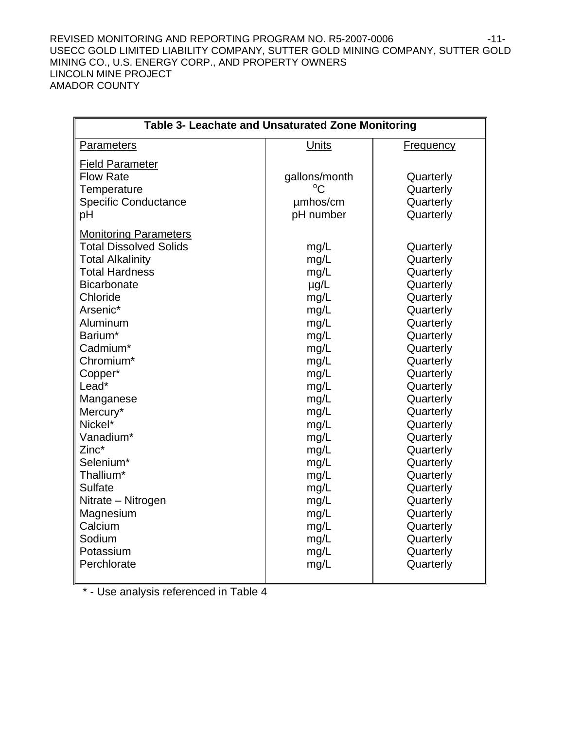#### REVISED MONITORING AND REPORTING PROGRAM NO. R5-2007-0006 -11-USECC GOLD LIMITED LIABILITY COMPANY, SUTTER GOLD MINING COMPANY, SUTTER GOLD MINING CO., U.S. ENERGY CORP., AND PROPERTY OWNERS LINCOLN MINE PROJECT AMADOR COUNTY

| Table 3- Leachate and Unsaturated Zone Monitoring |               |                  |  |
|---------------------------------------------------|---------------|------------------|--|
| <b>Parameters</b>                                 | Units         | <b>Frequency</b> |  |
| <b>Field Parameter</b>                            |               |                  |  |
| <b>Flow Rate</b>                                  | gallons/month | Quarterly        |  |
| Temperature                                       | $^{\circ}C$   | Quarterly        |  |
| <b>Specific Conductance</b>                       | umhos/cm      | Quarterly        |  |
| pH                                                | pH number     | Quarterly        |  |
|                                                   |               |                  |  |
| <b>Monitoring Parameters</b>                      |               |                  |  |
| <b>Total Dissolved Solids</b>                     | mg/L          | Quarterly        |  |
| <b>Total Alkalinity</b>                           | mg/L          | Quarterly        |  |
| <b>Total Hardness</b>                             | mg/L          | Quarterly        |  |
| <b>Bicarbonate</b>                                | $\mu$ g/L     | Quarterly        |  |
| Chloride                                          | mg/L          | Quarterly        |  |
| Arsenic*                                          | mg/L          | Quarterly        |  |
| Aluminum                                          | mg/L          | Quarterly        |  |
| Barium*                                           | mg/L          | Quarterly        |  |
| Cadmium*                                          | mg/L          | Quarterly        |  |
| Chromium*                                         | mg/L          | Quarterly        |  |
| Copper*                                           | mg/L          | Quarterly        |  |
| Lead*                                             | mg/L          | Quarterly        |  |
| Manganese                                         | mg/L          | Quarterly        |  |
| Mercury*                                          | mg/L          | Quarterly        |  |
| Nickel*                                           | mg/L          | Quarterly        |  |
| Vanadium*                                         | mg/L          | Quarterly        |  |
| Zinc*                                             | mg/L          | Quarterly        |  |
| Selenium*                                         | mg/L          | Quarterly        |  |
| Thallium*                                         | mg/L          | Quarterly        |  |
| <b>Sulfate</b>                                    | mg/L          | Quarterly        |  |
| Nitrate - Nitrogen                                | mg/L          | Quarterly        |  |
| Magnesium                                         | mg/L          | Quarterly        |  |
| Calcium                                           | mg/L          | Quarterly        |  |
| Sodium                                            | mg/L          | Quarterly        |  |
| Potassium                                         | mg/L          | Quarterly        |  |
| Perchlorate                                       | mg/L          | Quarterly        |  |
|                                                   |               |                  |  |

\* - Use analysis referenced in Table 4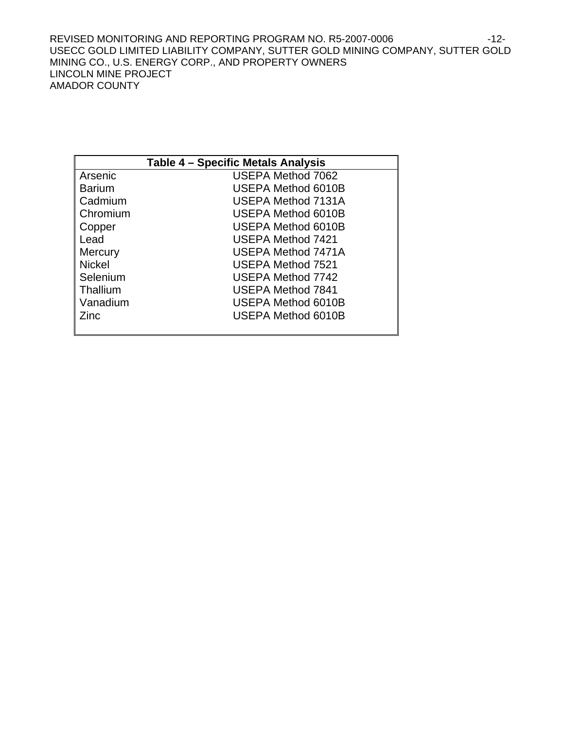REVISED MONITORING AND REPORTING PROGRAM NO. R5-2007-0006 -12-USECC GOLD LIMITED LIABILITY COMPANY, SUTTER GOLD MINING COMPANY, SUTTER GOLD MINING CO., U.S. ENERGY CORP., AND PROPERTY OWNERS LINCOLN MINE PROJECT AMADOR COUNTY

| Table 4 – Specific Metals Analysis |                           |  |  |  |
|------------------------------------|---------------------------|--|--|--|
| Arsenic                            | USEPA Method 7062         |  |  |  |
| Barium                             | USEPA Method 6010B        |  |  |  |
| Cadmium                            | USEPA Method 7131A        |  |  |  |
| Chromium                           | USEPA Method 6010B        |  |  |  |
| Copper                             | <b>USEPA Method 6010B</b> |  |  |  |
| Lead                               | USEPA Method 7421         |  |  |  |
| <b>Mercury</b>                     | USEPA Method 7471A        |  |  |  |
| <b>Nickel</b>                      | <b>USEPA Method 7521</b>  |  |  |  |
| Selenium                           | <b>USEPA Method 7742</b>  |  |  |  |
| Thallium                           | <b>USEPA Method 7841</b>  |  |  |  |
| Vanadium                           | <b>USEPA Method 6010B</b> |  |  |  |
| Zinc                               | USEPA Method 6010B        |  |  |  |
|                                    |                           |  |  |  |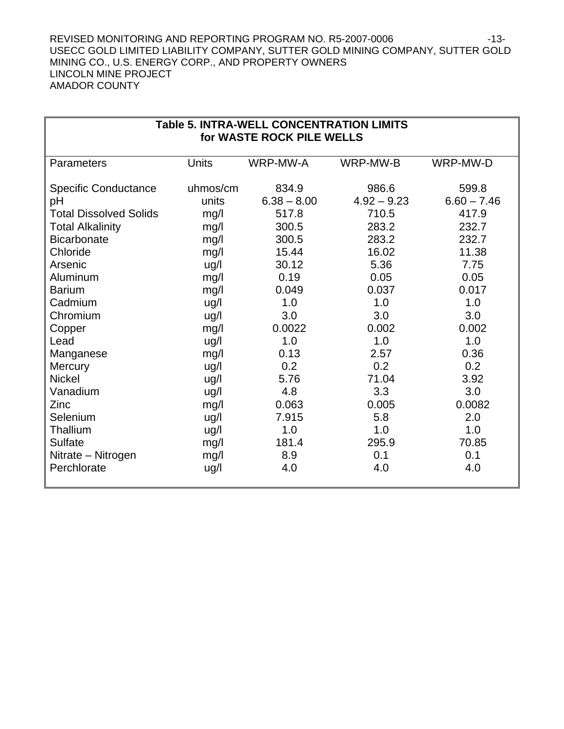#### REVISED MONITORING AND REPORTING PROGRAM NO. R5-2007-0006 -13-USECC GOLD LIMITED LIABILITY COMPANY, SUTTER GOLD MINING COMPANY, SUTTER GOLD MINING CO., U.S. ENERGY CORP., AND PROPERTY OWNERS LINCOLN MINE PROJECT AMADOR COUNTY

| <b>Table 5. INTRA-WELL CONCENTRATION LIMITS</b><br>for WASTE ROCK PILE WELLS |              |               |               |               |  |  |  |
|------------------------------------------------------------------------------|--------------|---------------|---------------|---------------|--|--|--|
| Parameters                                                                   | <b>Units</b> | WRP-MW-A      | WRP-MW-B      | WRP-MW-D      |  |  |  |
| <b>Specific Conductance</b>                                                  | uhmos/cm     | 834.9         | 986.6         | 599.8         |  |  |  |
| pH                                                                           | units        | $6.38 - 8.00$ | $4.92 - 9.23$ | $6.60 - 7.46$ |  |  |  |
| <b>Total Dissolved Solids</b>                                                | mg/l         | 517.8         | 710.5         | 417.9         |  |  |  |
| <b>Total Alkalinity</b><br>300.5<br>283.2<br>232.7<br>mg/l                   |              |               |               |               |  |  |  |
| <b>Bicarbonate</b>                                                           | mg/l         | 300.5         | 283.2         | 232.7         |  |  |  |
| Chloride                                                                     | mg/l         | 15.44         | 16.02         | 11.38         |  |  |  |
| Arsenic                                                                      | ug/l         | 30.12         | 5.36          | 7.75          |  |  |  |
| Aluminum                                                                     | mg/l         | 0.19          | 0.05          | 0.05          |  |  |  |
| <b>Barium</b>                                                                | mg/l         | 0.049         | 0.037         | 0.017         |  |  |  |
| Cadmium                                                                      | ug/l         | 1.0           | 1.0           | 1.0           |  |  |  |
| Chromium                                                                     | ug/l         | 3.0           | 3.0           | 3.0           |  |  |  |
| Copper                                                                       | mg/l         | 0.0022        | 0.002         | 0.002         |  |  |  |
| Lead                                                                         | ug/l         | 1.0           | 1.0           | 1.0           |  |  |  |
| Manganese                                                                    | mg/l         | 0.13          | 2.57          | 0.36          |  |  |  |
| <b>Mercury</b>                                                               | ug/l         | 0.2           | 0.2           | 0.2           |  |  |  |
| <b>Nickel</b>                                                                | ug/l         | 5.76          | 71.04         | 3.92          |  |  |  |
| Vanadium                                                                     | ug/l         | 4.8           | 3.3           | 3.0           |  |  |  |
| Zinc                                                                         | mg/l         | 0.063         | 0.005         | 0.0082        |  |  |  |
| Selenium                                                                     | ug/l         | 7.915         | 5.8           | 2.0           |  |  |  |
| Thallium                                                                     | ug/l         | 1.0           | 1.0           | 1.0           |  |  |  |
| <b>Sulfate</b>                                                               | mg/l         | 181.4         | 295.9         | 70.85         |  |  |  |
| Nitrate - Nitrogen                                                           | mg/l         | 8.9           | 0.1           | 0.1           |  |  |  |
| Perchlorate<br>4.0<br>4.0<br>4.0<br>ug/l                                     |              |               |               |               |  |  |  |